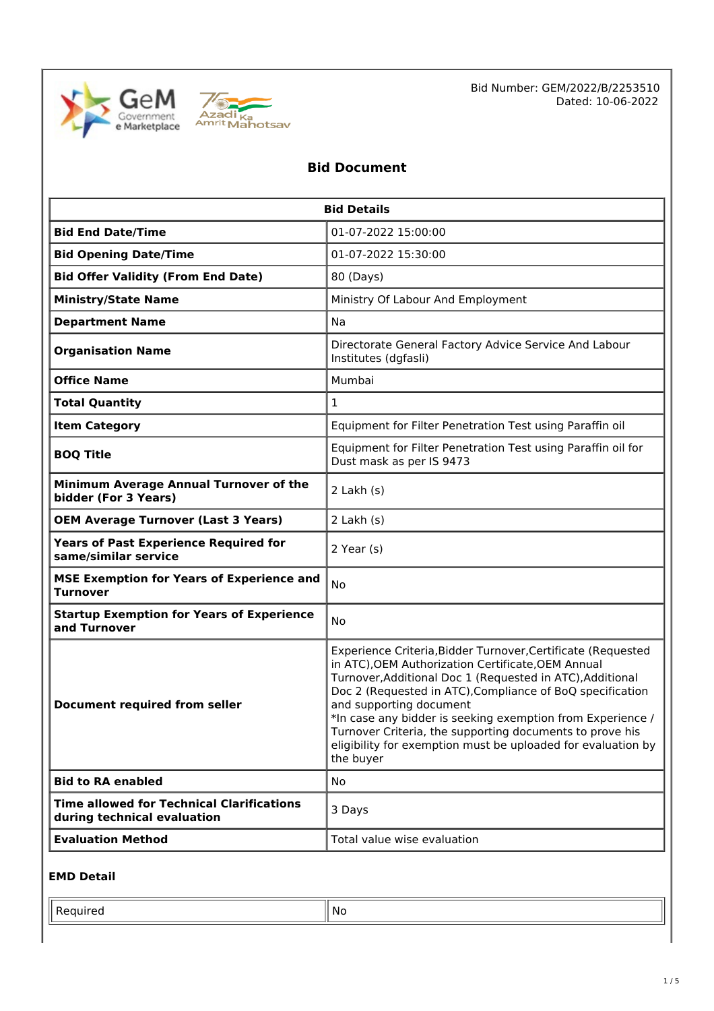



# **Bid Document**

| <b>Bid Details</b>                                                              |                                                                                                                                                                                                                                                                                                                                                                                                                                                                                |  |
|---------------------------------------------------------------------------------|--------------------------------------------------------------------------------------------------------------------------------------------------------------------------------------------------------------------------------------------------------------------------------------------------------------------------------------------------------------------------------------------------------------------------------------------------------------------------------|--|
| 01-07-2022 15:00:00<br><b>Bid End Date/Time</b>                                 |                                                                                                                                                                                                                                                                                                                                                                                                                                                                                |  |
| <b>Bid Opening Date/Time</b>                                                    | 01-07-2022 15:30:00                                                                                                                                                                                                                                                                                                                                                                                                                                                            |  |
| <b>Bid Offer Validity (From End Date)</b>                                       | 80 (Days)                                                                                                                                                                                                                                                                                                                                                                                                                                                                      |  |
| <b>Ministry/State Name</b>                                                      | Ministry Of Labour And Employment                                                                                                                                                                                                                                                                                                                                                                                                                                              |  |
| <b>Department Name</b>                                                          | Na                                                                                                                                                                                                                                                                                                                                                                                                                                                                             |  |
| <b>Organisation Name</b>                                                        | Directorate General Factory Advice Service And Labour<br>Institutes (dgfasli)                                                                                                                                                                                                                                                                                                                                                                                                  |  |
| <b>Office Name</b>                                                              | Mumbai                                                                                                                                                                                                                                                                                                                                                                                                                                                                         |  |
| <b>Total Quantity</b>                                                           | $\mathbf{1}$                                                                                                                                                                                                                                                                                                                                                                                                                                                                   |  |
| <b>Item Category</b>                                                            | Equipment for Filter Penetration Test using Paraffin oil                                                                                                                                                                                                                                                                                                                                                                                                                       |  |
| <b>BOQ Title</b>                                                                | Equipment for Filter Penetration Test using Paraffin oil for<br>Dust mask as per IS 9473                                                                                                                                                                                                                                                                                                                                                                                       |  |
| Minimum Average Annual Turnover of the<br>bidder (For 3 Years)                  | $2$ Lakh $(s)$                                                                                                                                                                                                                                                                                                                                                                                                                                                                 |  |
| <b>OEM Average Turnover (Last 3 Years)</b>                                      | $2$ Lakh $(s)$                                                                                                                                                                                                                                                                                                                                                                                                                                                                 |  |
| <b>Years of Past Experience Required for</b><br>same/similar service            | $2$ Year (s)                                                                                                                                                                                                                                                                                                                                                                                                                                                                   |  |
| <b>MSE Exemption for Years of Experience and</b><br><b>Turnover</b>             | No                                                                                                                                                                                                                                                                                                                                                                                                                                                                             |  |
| <b>Startup Exemption for Years of Experience</b><br>and Turnover                | No                                                                                                                                                                                                                                                                                                                                                                                                                                                                             |  |
| <b>Document required from seller</b>                                            | Experience Criteria, Bidder Turnover, Certificate (Requested<br>in ATC), OEM Authorization Certificate, OEM Annual<br>Turnover, Additional Doc 1 (Requested in ATC), Additional<br>Doc 2 (Requested in ATC), Compliance of BoQ specification<br>and supporting document<br>*In case any bidder is seeking exemption from Experience /<br>Turnover Criteria, the supporting documents to prove his<br>eligibility for exemption must be uploaded for evaluation by<br>the buyer |  |
| <b>Bid to RA enabled</b>                                                        | No                                                                                                                                                                                                                                                                                                                                                                                                                                                                             |  |
| <b>Time allowed for Technical Clarifications</b><br>during technical evaluation | 3 Days                                                                                                                                                                                                                                                                                                                                                                                                                                                                         |  |
| <b>Evaluation Method</b>                                                        | Total value wise evaluation                                                                                                                                                                                                                                                                                                                                                                                                                                                    |  |

### **EMD Detail**

| .No |
|-----|
| __  |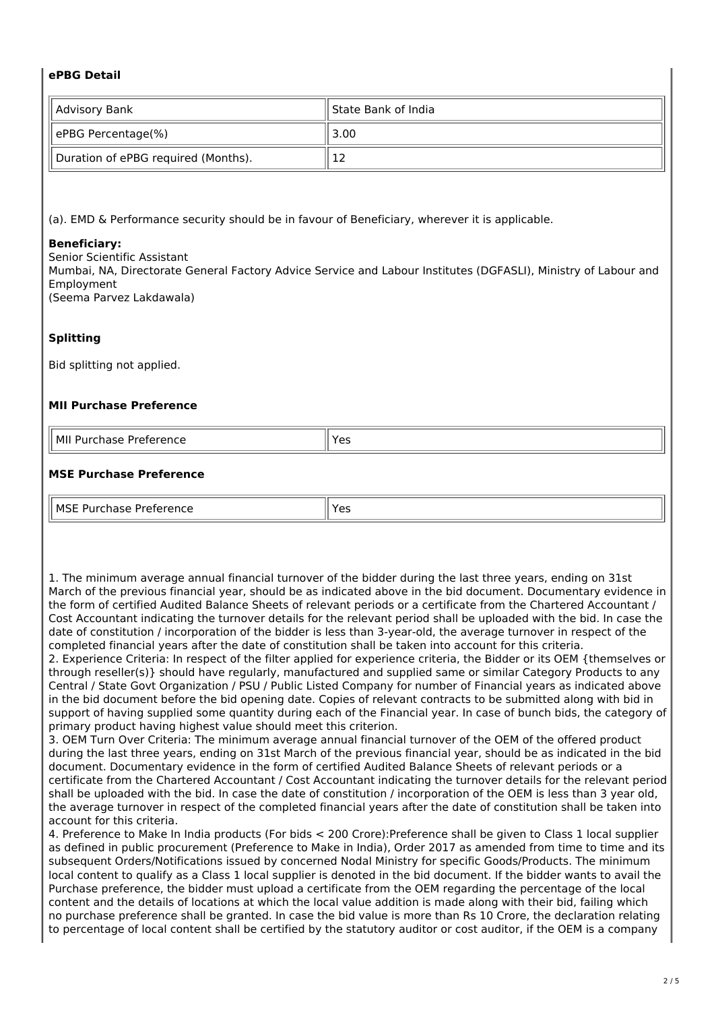### **ePBG Detail**

| Advisory Bank                       | ll State Bank of India |  |
|-------------------------------------|------------------------|--|
| ePBG Percentage(%)                  | 3.00                   |  |
| Duration of ePBG required (Months). | 12                     |  |

(a). EMD & Performance security should be in favour of Beneficiary, wherever it is applicable.

#### **Beneficiary:**

Senior Scientific Assistant Mumbai, NA, Directorate General Factory Advice Service and Labour Institutes (DGFASLI), Ministry of Labour and Employment (Seema Parvez Lakdawala)

### **Splitting**

Bid splitting not applied.

### **MII Purchase Preference**

| м<br>.<br>.<br>enc<br>.<br>∽−<br>. | --<br>$ -$ |
|------------------------------------|------------|

#### **MSE Purchase Preference**

| $\mathsf{M}^\mathsf{CT}$<br>.<br>. | ~~<br>$ -$ |
|------------------------------------|------------|

1. The minimum average annual financial turnover of the bidder during the last three years, ending on 31st March of the previous financial year, should be as indicated above in the bid document. Documentary evidence in the form of certified Audited Balance Sheets of relevant periods or a certificate from the Chartered Accountant / Cost Accountant indicating the turnover details for the relevant period shall be uploaded with the bid. In case the date of constitution / incorporation of the bidder is less than 3-year-old, the average turnover in respect of the completed financial years after the date of constitution shall be taken into account for this criteria.

2. Experience Criteria: In respect of the filter applied for experience criteria, the Bidder or its OEM {themselves or through reseller(s)} should have regularly, manufactured and supplied same or similar Category Products to any Central / State Govt Organization / PSU / Public Listed Company for number of Financial years as indicated above in the bid document before the bid opening date. Copies of relevant contracts to be submitted along with bid in support of having supplied some quantity during each of the Financial year. In case of bunch bids, the category of primary product having highest value should meet this criterion.

3. OEM Turn Over Criteria: The minimum average annual financial turnover of the OEM of the offered product during the last three years, ending on 31st March of the previous financial year, should be as indicated in the bid document. Documentary evidence in the form of certified Audited Balance Sheets of relevant periods or a certificate from the Chartered Accountant / Cost Accountant indicating the turnover details for the relevant period shall be uploaded with the bid. In case the date of constitution / incorporation of the OEM is less than 3 year old, the average turnover in respect of the completed financial years after the date of constitution shall be taken into account for this criteria.

4. Preference to Make In India products (For bids < 200 Crore):Preference shall be given to Class 1 local supplier as defined in public procurement (Preference to Make in India), Order 2017 as amended from time to time and its subsequent Orders/Notifications issued by concerned Nodal Ministry for specific Goods/Products. The minimum local content to qualify as a Class 1 local supplier is denoted in the bid document. If the bidder wants to avail the Purchase preference, the bidder must upload a certificate from the OEM regarding the percentage of the local content and the details of locations at which the local value addition is made along with their bid, failing which no purchase preference shall be granted. In case the bid value is more than Rs 10 Crore, the declaration relating to percentage of local content shall be certified by the statutory auditor or cost auditor, if the OEM is a company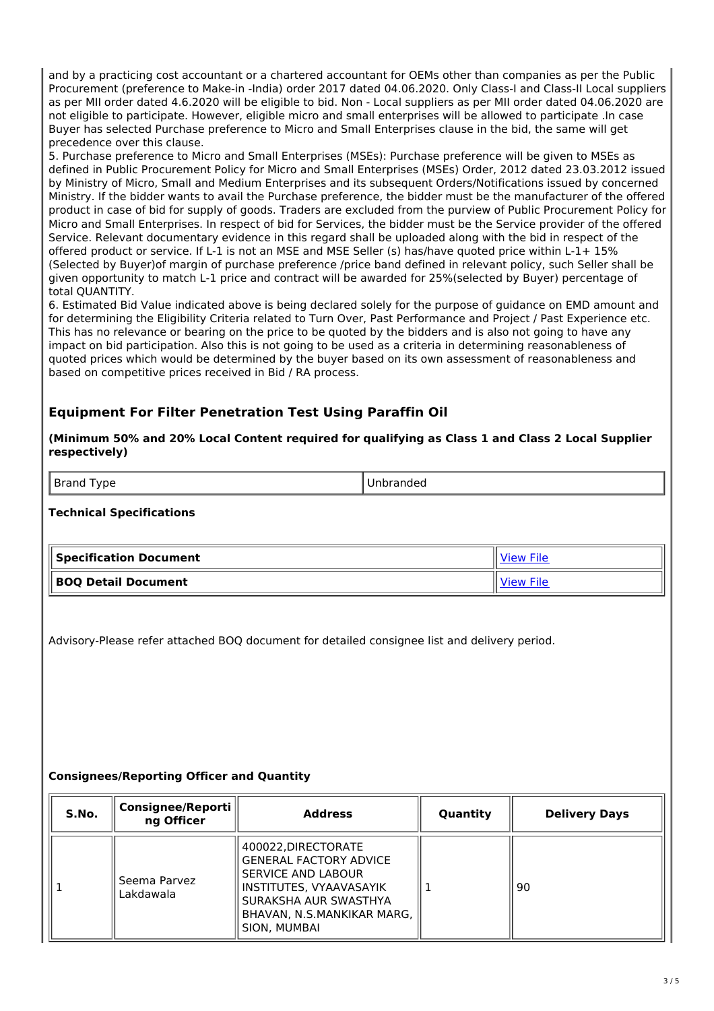and by a practicing cost accountant or a chartered accountant for OEMs other than companies as per the Public Procurement (preference to Make-in -India) order 2017 dated 04.06.2020. Only Class-I and Class-II Local suppliers as per MII order dated 4.6.2020 will be eligible to bid. Non - Local suppliers as per MII order dated 04.06.2020 are not eligible to participate. However, eligible micro and small enterprises will be allowed to participate .In case Buyer has selected Purchase preference to Micro and Small Enterprises clause in the bid, the same will get precedence over this clause.

5. Purchase preference to Micro and Small Enterprises (MSEs): Purchase preference will be given to MSEs as defined in Public Procurement Policy for Micro and Small Enterprises (MSEs) Order, 2012 dated 23.03.2012 issued by Ministry of Micro, Small and Medium Enterprises and its subsequent Orders/Notifications issued by concerned Ministry. If the bidder wants to avail the Purchase preference, the bidder must be the manufacturer of the offered product in case of bid for supply of goods. Traders are excluded from the purview of Public Procurement Policy for Micro and Small Enterprises. In respect of bid for Services, the bidder must be the Service provider of the offered Service. Relevant documentary evidence in this regard shall be uploaded along with the bid in respect of the offered product or service. If L-1 is not an MSE and MSE Seller (s) has/have quoted price within L-1+ 15% (Selected by Buyer)of margin of purchase preference /price band defined in relevant policy, such Seller shall be given opportunity to match L-1 price and contract will be awarded for 25%(selected by Buyer) percentage of total QUANTITY.

6. Estimated Bid Value indicated above is being declared solely for the purpose of guidance on EMD amount and for determining the Eligibility Criteria related to Turn Over, Past Performance and Project / Past Experience etc. This has no relevance or bearing on the price to be quoted by the bidders and is also not going to have any impact on bid participation. Also this is not going to be used as a criteria in determining reasonableness of quoted prices which would be determined by the buyer based on its own assessment of reasonableness and based on competitive prices received in Bid / RA process.

# **Equipment For Filter Penetration Test Using Paraffin Oil**

#### **(Minimum 50% and 20% Local Content required for qualifying as Class 1 and Class 2 Local Supplier respectively)**

| <b>Brand</b><br>ype<br>$\sim$ $\sim$ | Inbranded |
|--------------------------------------|-----------|
|                                      |           |

### **Technical Specifications**

| $\parallel$ Specification Document | View File |
|------------------------------------|-----------|
| BOQ Detail Document                | /i∩w      |

Advisory-Please refer attached BOQ document for detailed consignee list and delivery period.

## **Consignees/Reporting Officer and Quantity**

| S.No. | <b>Consignee/Reporti</b><br>ng Officer | <b>Address</b>                                                                                                                                                                      | Quantity | <b>Delivery Days</b> |
|-------|----------------------------------------|-------------------------------------------------------------------------------------------------------------------------------------------------------------------------------------|----------|----------------------|
|       | Seema Parvez<br>Lakdawala              | 400022, DIRECTORATE<br><b>GENERAL FACTORY ADVICE</b><br>SERVICE AND LABOUR<br><b>INSTITUTES, VYAAVASAYIK</b><br>SURAKSHA AUR SWASTHYA<br>BHAVAN, N.S.MANKIKAR MARG,<br>SION, MUMBAI |          | 90                   |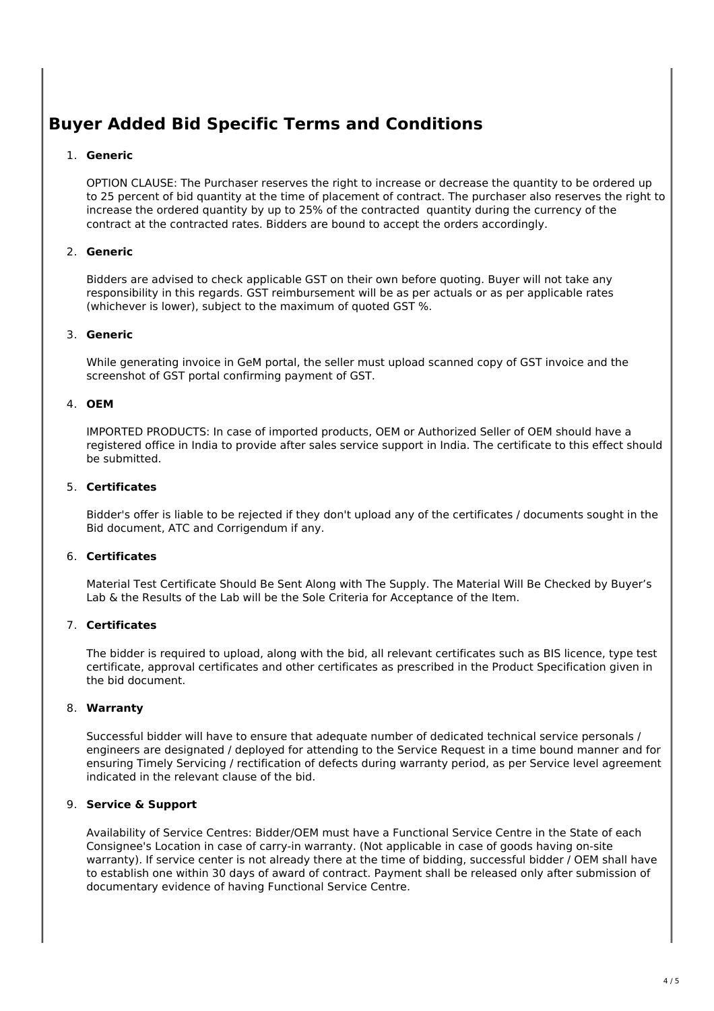# **Buyer Added Bid Specific Terms and Conditions**

### 1. **Generic**

OPTION CLAUSE: The Purchaser reserves the right to increase or decrease the quantity to be ordered up to 25 percent of bid quantity at the time of placement of contract. The purchaser also reserves the right to increase the ordered quantity by up to 25% of the contracted quantity during the currency of the contract at the contracted rates. Bidders are bound to accept the orders accordingly.

#### 2. **Generic**

Bidders are advised to check applicable GST on their own before quoting. Buyer will not take any responsibility in this regards. GST reimbursement will be as per actuals or as per applicable rates (whichever is lower), subject to the maximum of quoted GST %.

#### 3. **Generic**

While generating invoice in GeM portal, the seller must upload scanned copy of GST invoice and the screenshot of GST portal confirming payment of GST.

#### 4. **OEM**

IMPORTED PRODUCTS: In case of imported products, OEM or Authorized Seller of OEM should have a registered office in India to provide after sales service support in India. The certificate to this effect should be submitted.

#### 5. **Certificates**

Bidder's offer is liable to be rejected if they don't upload any of the certificates / documents sought in the Bid document, ATC and Corrigendum if any.

### 6. **Certificates**

Material Test Certificate Should Be Sent Along with The Supply. The Material Will Be Checked by Buyer's Lab & the Results of the Lab will be the Sole Criteria for Acceptance of the Item.

## 7. **Certificates**

The bidder is required to upload, along with the bid, all relevant certificates such as BIS licence, type test certificate, approval certificates and other certificates as prescribed in the Product Specification given in the bid document.

#### 8. **Warranty**

Successful bidder will have to ensure that adequate number of dedicated technical service personals / engineers are designated / deployed for attending to the Service Request in a time bound manner and for ensuring Timely Servicing / rectification of defects during warranty period, as per Service level agreement indicated in the relevant clause of the bid.

### 9. **Service & Support**

Availability of Service Centres: Bidder/OEM must have a Functional Service Centre in the State of each Consignee's Location in case of carry-in warranty. (Not applicable in case of goods having on-site warranty). If service center is not already there at the time of bidding, successful bidder / OEM shall have to establish one within 30 days of award of contract. Payment shall be released only after submission of documentary evidence of having Functional Service Centre.